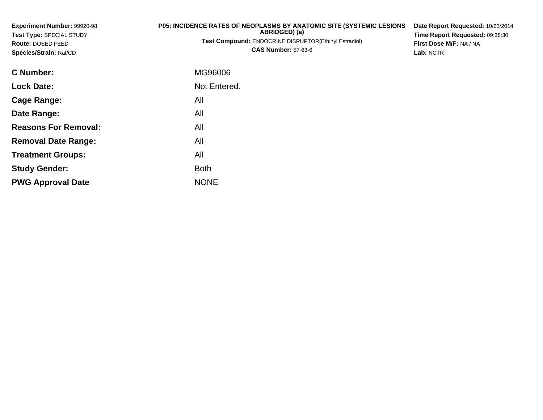| <b>Experiment Number: 99920-98</b><br>Test Type: SPECIAL STUDY<br>Route: DOSED FEED<br>Species/Strain: Rat/CD | P05: INCIDENCE RATES OF NEOPLASMS BY ANATOMIC SITE (SYSTEMIC LESIONS<br>ABRIDGED) (a)<br><b>Test Compound: ENDOCRINE DISRUPTOR(Ethinyl Estradiol)</b><br><b>CAS Number: 57-63-6</b> | Date Report Requested: 10/23/2014<br>Time Report Requested: 09:38:30<br>First Dose M/F: NA / NA<br>Lab: NCTR |
|---------------------------------------------------------------------------------------------------------------|-------------------------------------------------------------------------------------------------------------------------------------------------------------------------------------|--------------------------------------------------------------------------------------------------------------|
| C Number:                                                                                                     | MG96006                                                                                                                                                                             |                                                                                                              |
| <b>Lock Date:</b>                                                                                             | Not Entered.                                                                                                                                                                        |                                                                                                              |
| <b>Cage Range:</b>                                                                                            | All                                                                                                                                                                                 |                                                                                                              |
| Date Range:                                                                                                   | All                                                                                                                                                                                 |                                                                                                              |
| <b>Reasons For Removal:</b>                                                                                   | All                                                                                                                                                                                 |                                                                                                              |
| <b>Removal Date Range:</b>                                                                                    | All                                                                                                                                                                                 |                                                                                                              |

**Treatment Groups:**

**PWG Approval Date**

**Study Gender:**

All

e NONE

Both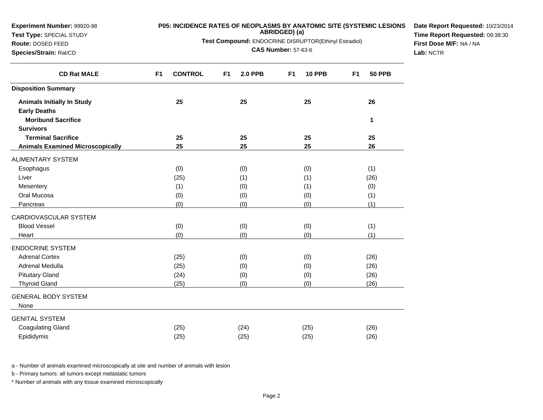| Route: DOSED FEED                       | First Dose M/F: NA / NA          |                                  |                                 |                                 |  |  |  |  |  |  |  |
|-----------------------------------------|----------------------------------|----------------------------------|---------------------------------|---------------------------------|--|--|--|--|--|--|--|
| Species/Strain: Rat/CD                  |                                  | <b>CAS Number: 57-63-6</b>       |                                 |                                 |  |  |  |  |  |  |  |
| <b>CD Rat MALE</b>                      | <b>CONTROL</b><br>F <sub>1</sub> | <b>2.0 PPB</b><br>F <sub>1</sub> | F <sub>1</sub><br><b>10 PPB</b> | F <sub>1</sub><br><b>50 PPB</b> |  |  |  |  |  |  |  |
| <b>Disposition Summary</b>              |                                  |                                  |                                 |                                 |  |  |  |  |  |  |  |
| <b>Animals Initially In Study</b>       | 25                               | 25                               | 25                              | 26                              |  |  |  |  |  |  |  |
| <b>Early Deaths</b>                     |                                  |                                  |                                 |                                 |  |  |  |  |  |  |  |
| <b>Moribund Sacrifice</b>               |                                  |                                  |                                 | 1                               |  |  |  |  |  |  |  |
| <b>Survivors</b>                        |                                  |                                  |                                 |                                 |  |  |  |  |  |  |  |
| <b>Terminal Sacrifice</b>               | 25                               | 25                               | 25                              | 25                              |  |  |  |  |  |  |  |
| <b>Animals Examined Microscopically</b> | 25                               | 25                               | 25                              | 26                              |  |  |  |  |  |  |  |
| ALIMENTARY SYSTEM                       |                                  |                                  |                                 |                                 |  |  |  |  |  |  |  |
| Esophagus                               | (0)                              | (0)                              | (0)                             | (1)                             |  |  |  |  |  |  |  |
| Liver                                   | (25)                             | (1)                              | (1)                             | (26)                            |  |  |  |  |  |  |  |
| Mesentery                               | (1)                              | (0)                              | (1)                             | (0)                             |  |  |  |  |  |  |  |
| Oral Mucosa                             | (0)                              | (0)                              | (0)                             | (1)                             |  |  |  |  |  |  |  |
| Pancreas                                | (0)                              | (0)                              | (0)                             | (1)                             |  |  |  |  |  |  |  |
| CARDIOVASCULAR SYSTEM                   |                                  |                                  |                                 |                                 |  |  |  |  |  |  |  |
| <b>Blood Vessel</b>                     | (0)                              | (0)                              | (0)                             | (1)                             |  |  |  |  |  |  |  |
| Heart                                   | (0)                              | (0)                              | (0)                             | (1)                             |  |  |  |  |  |  |  |
| <b>ENDOCRINE SYSTEM</b>                 |                                  |                                  |                                 |                                 |  |  |  |  |  |  |  |
| <b>Adrenal Cortex</b>                   | (25)                             | (0)                              | (0)                             | (26)                            |  |  |  |  |  |  |  |
| Adrenal Medulla                         | (25)                             | (0)                              | (0)                             | (26)                            |  |  |  |  |  |  |  |
| <b>Pituitary Gland</b>                  | (24)                             | (0)                              | (0)                             | (26)                            |  |  |  |  |  |  |  |
| <b>Thyroid Gland</b>                    | (25)                             | (0)                              | (0)                             | (26)                            |  |  |  |  |  |  |  |
| <b>GENERAL BODY SYSTEM</b><br>None      |                                  |                                  |                                 |                                 |  |  |  |  |  |  |  |
| <b>GENITAL SYSTEM</b>                   |                                  |                                  |                                 |                                 |  |  |  |  |  |  |  |
| <b>Coagulating Gland</b>                | (25)                             | (24)                             | (25)                            | (26)                            |  |  |  |  |  |  |  |
| Epididymis                              | (25)                             | (25)                             | (25)                            | (26)                            |  |  |  |  |  |  |  |

b - Primary tumors: all tumors except metastatic tumors

**Experiment Number:** 99920-98**Test Type:** SPECIAL STUDY

\* Number of animals with any tissue examined microscopically

**P05: INCIDENCE RATES OF NEOPLASMS BY ANATOMIC SITE (SYSTEMIC LESIONS ABRIDGED) (a)**

**Date Report Requested:** 10/23/2014**Time Report Requested:** 09:38:30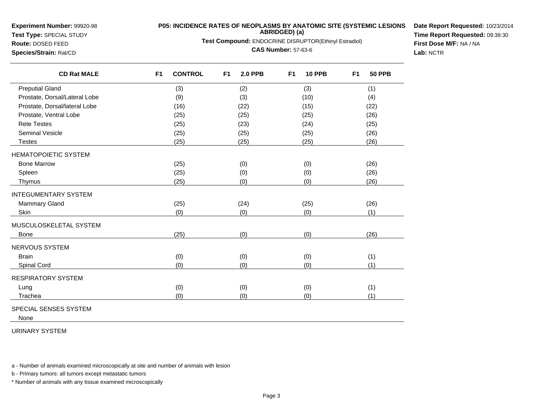**Experiment Number:** 99920-98

**Test Type:** SPECIAL STUDY

**Route:** DOSED FEED**Species/Strain:** Rat/CD

## **P05: INCIDENCE RATES OF NEOPLASMS BY ANATOMIC SITE (SYSTEMIC LESIONSABRIDGED) (a)**

**Test Compound:** ENDOCRINE DISRUPTOR(Ethinyl Estradiol)

**CAS Number:** 57-63-6

**Date Report Requested:** 10/23/2014**Time Report Requested:** 09:38:30**First Dose M/F:** NA / NA**Lab:** NCTR

| <b>CD Rat MALE</b>            | F <sub>1</sub><br><b>CONTROL</b> | F <sub>1</sub><br><b>2.0 PPB</b> | <b>10 PPB</b><br>F <sub>1</sub> | <b>50 PPB</b><br>F <sub>1</sub> |
|-------------------------------|----------------------------------|----------------------------------|---------------------------------|---------------------------------|
| <b>Preputial Gland</b>        | (3)                              | (2)                              | (3)                             | (1)                             |
| Prostate, Dorsal/Lateral Lobe | (9)                              | (3)                              | (10)                            | (4)                             |
| Prostate, Dorsal/lateral Lobe | (16)                             | (22)                             | (15)                            | (22)                            |
| Prostate, Ventral Lobe        | (25)                             | (25)                             | (25)                            | (26)                            |
| <b>Rete Testes</b>            | (25)                             | (23)                             | (24)                            | (25)                            |
| <b>Seminal Vesicle</b>        | (25)                             | (25)                             | (25)                            | (26)                            |
| <b>Testes</b>                 | (25)                             | (25)                             | (25)                            | (26)                            |
| <b>HEMATOPOIETIC SYSTEM</b>   |                                  |                                  |                                 |                                 |
| <b>Bone Marrow</b>            | (25)                             | (0)                              | (0)                             | (26)                            |
| Spleen                        | (25)                             | (0)                              | (0)                             | (26)                            |
| Thymus                        | (25)                             | (0)                              | (0)                             | (26)                            |
| <b>INTEGUMENTARY SYSTEM</b>   |                                  |                                  |                                 |                                 |
| Mammary Gland                 | (25)                             | (24)                             | (25)                            | (26)                            |
| Skin                          | (0)                              | (0)                              | (0)                             | (1)                             |
| MUSCULOSKELETAL SYSTEM        |                                  |                                  |                                 |                                 |
| <b>Bone</b>                   | (25)                             | (0)                              | (0)                             | (26)                            |
| NERVOUS SYSTEM                |                                  |                                  |                                 |                                 |
| <b>Brain</b>                  | (0)                              | (0)                              | (0)                             | (1)                             |
| Spinal Cord                   | (0)                              | (0)                              | (0)                             | (1)                             |
| <b>RESPIRATORY SYSTEM</b>     |                                  |                                  |                                 |                                 |
| Lung                          | (0)                              | (0)                              | (0)                             | (1)                             |
| Trachea                       | (0)                              | (0)                              | (0)                             | (1)                             |

SPECIAL SENSES SYSTEM

None

URINARY SYSTEM

a - Number of animals examined microscopically at site and number of animals with lesion

b - Primary tumors: all tumors except metastatic tumors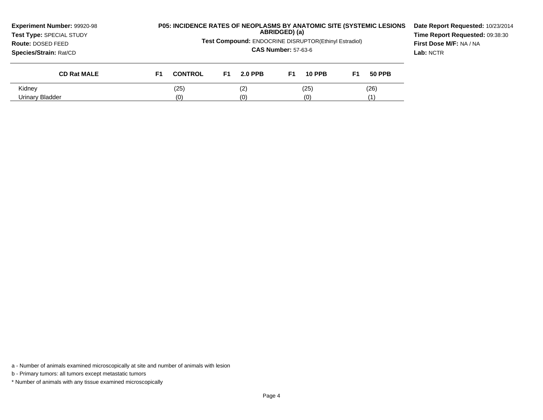| Experiment Number: 99920-98<br>Test Type: SPECIAL STUDY<br><b>Route: DOSED FEED</b><br><b>Species/Strain: Rat/CD</b> |    | <b>P05: INCIDENCE RATES OF NEOPLASMS BY ANATOMIC SITE (SYSTEMIC LESIONS</b><br>ABRIDGED) (a)<br>Test Compound: ENDOCRINE DISRUPTOR(Ethinyl Estradiol)<br><b>CAS Number: 57-63-6</b> |    |                |    |               |    |               | Date Report Requested: 10/23/2014<br>Time Report Requested: 09:38:30<br>First Dose M/F: NA / NA<br>Lab: NCTR |
|----------------------------------------------------------------------------------------------------------------------|----|-------------------------------------------------------------------------------------------------------------------------------------------------------------------------------------|----|----------------|----|---------------|----|---------------|--------------------------------------------------------------------------------------------------------------|
| <b>CD Rat MALE</b>                                                                                                   | F1 | <b>CONTROL</b>                                                                                                                                                                      | F1 | <b>2.0 PPB</b> | F1 | <b>10 PPB</b> | F1 | <b>50 PPB</b> |                                                                                                              |
| Kidney                                                                                                               |    | (25)<br>(25)<br>(2)<br>(26)                                                                                                                                                         |    |                |    |               |    |               |                                                                                                              |
| Urinary Bladder                                                                                                      |    | (0)                                                                                                                                                                                 |    | (0)            |    | (0)           |    |               |                                                                                                              |

b - Primary tumors: all tumors except metastatic tumors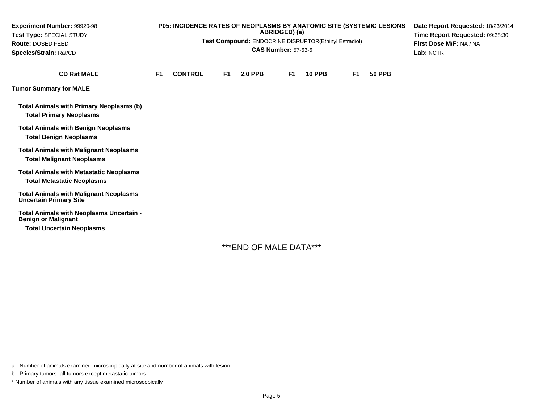| Experiment Number: 99920-98<br>Test Type: SPECIAL STUDY<br>Route: DOSED FEED<br>Species/Strain: Rat/CD |                | P05: INCIDENCE RATES OF NEOPLASMS BY ANATOMIC SITE (SYSTEMIC LESIONS<br>Test Compound: ENDOCRINE DISRUPTOR(Ethinyl Estradiol) | Date Report Requested: 10/23/2014<br>Time Report Requested: 09:38:30<br>First Dose M/F: NA / NA<br>Lab: NCTR |                |                |               |                |               |  |
|--------------------------------------------------------------------------------------------------------|----------------|-------------------------------------------------------------------------------------------------------------------------------|--------------------------------------------------------------------------------------------------------------|----------------|----------------|---------------|----------------|---------------|--|
| <b>CD Rat MALE</b>                                                                                     | F <sub>1</sub> | <b>CONTROL</b>                                                                                                                | F1.                                                                                                          | <b>2.0 PPB</b> | F <sub>1</sub> | <b>10 PPB</b> | F <sub>1</sub> | <b>50 PPB</b> |  |
| <b>Tumor Summary for MALE</b>                                                                          |                |                                                                                                                               |                                                                                                              |                |                |               |                |               |  |
| <b>Total Animals with Primary Neoplasms (b)</b><br><b>Total Primary Neoplasms</b>                      |                |                                                                                                                               |                                                                                                              |                |                |               |                |               |  |
| <b>Total Animals with Benign Neoplasms</b><br><b>Total Benign Neoplasms</b>                            |                |                                                                                                                               |                                                                                                              |                |                |               |                |               |  |
| <b>Total Animals with Malignant Neoplasms</b><br><b>Total Malignant Neoplasms</b>                      |                |                                                                                                                               |                                                                                                              |                |                |               |                |               |  |
| <b>Total Animals with Metastatic Neoplasms</b><br><b>Total Metastatic Neoplasms</b>                    |                |                                                                                                                               |                                                                                                              |                |                |               |                |               |  |
| <b>Total Animals with Malignant Neoplasms</b><br><b>Uncertain Primary Site</b>                         |                |                                                                                                                               |                                                                                                              |                |                |               |                |               |  |
| Total Animals with Neoplasms Uncertain -<br><b>Benign or Malignant</b>                                 |                |                                                                                                                               |                                                                                                              |                |                |               |                |               |  |
| <b>Total Uncertain Neoplasms</b>                                                                       |                |                                                                                                                               |                                                                                                              |                |                |               |                |               |  |

\*\*\*END OF MALE DATA\*\*\*

a - Number of animals examined microscopically at site and number of animals with lesion

b - Primary tumors: all tumors except metastatic tumors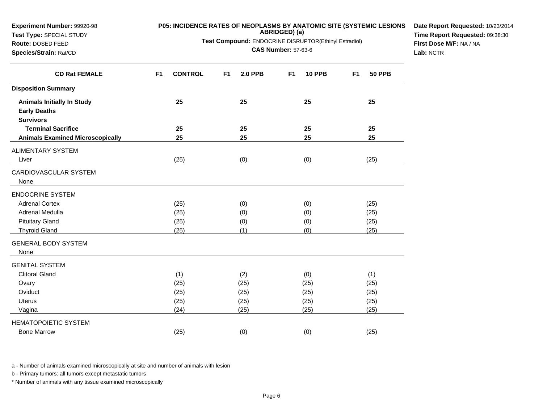| Route: DOSED FEED<br>Species/Strain: Rat/CD | <b>Test Compound: ENDOCRINE DISRUPTOR(Ethinyl Estradiol)</b><br><b>CAS Number: 57-63-6</b> |    |                |                |               |    |               | First Dose M/F: NA / NA<br>Lab: NCTR |
|---------------------------------------------|--------------------------------------------------------------------------------------------|----|----------------|----------------|---------------|----|---------------|--------------------------------------|
| <b>CD Rat FEMALE</b>                        | F <sub>1</sub><br><b>CONTROL</b>                                                           | F1 | <b>2.0 PPB</b> | F <sub>1</sub> | <b>10 PPB</b> | F1 | <b>50 PPB</b> |                                      |
| <b>Disposition Summary</b>                  |                                                                                            |    |                |                |               |    |               |                                      |
| <b>Animals Initially In Study</b>           | 25                                                                                         |    | 25             |                | 25            |    | 25            |                                      |
| <b>Early Deaths</b>                         |                                                                                            |    |                |                |               |    |               |                                      |
| <b>Survivors</b>                            |                                                                                            |    |                |                |               |    |               |                                      |
| <b>Terminal Sacrifice</b>                   | 25                                                                                         |    | 25             |                | 25            |    | 25            |                                      |
| <b>Animals Examined Microscopically</b>     | 25                                                                                         |    | 25             |                | 25            |    | 25            |                                      |
| ALIMENTARY SYSTEM                           |                                                                                            |    |                |                |               |    |               |                                      |
| Liver                                       | (25)                                                                                       |    | (0)            |                | (0)           |    | (25)          |                                      |
| CARDIOVASCULAR SYSTEM                       |                                                                                            |    |                |                |               |    |               |                                      |
| None                                        |                                                                                            |    |                |                |               |    |               |                                      |
| <b>ENDOCRINE SYSTEM</b>                     |                                                                                            |    |                |                |               |    |               |                                      |
| <b>Adrenal Cortex</b>                       | (25)                                                                                       |    | (0)            |                | (0)           |    | (25)          |                                      |
| Adrenal Medulla                             | (25)                                                                                       |    | (0)            |                | (0)           |    | (25)          |                                      |
| <b>Pituitary Gland</b>                      | (25)                                                                                       |    | (0)            |                | (0)           |    | (25)          |                                      |
| <b>Thyroid Gland</b>                        | (25)                                                                                       |    | (1)            |                | (0)           |    | (25)          |                                      |
| <b>GENERAL BODY SYSTEM</b>                  |                                                                                            |    |                |                |               |    |               |                                      |
| None                                        |                                                                                            |    |                |                |               |    |               |                                      |
| <b>GENITAL SYSTEM</b>                       |                                                                                            |    |                |                |               |    |               |                                      |
| <b>Clitoral Gland</b>                       | (1)                                                                                        |    | (2)            |                | (0)           |    | (1)           |                                      |
| Ovary                                       | (25)                                                                                       |    | (25)           |                | (25)          |    | (25)          |                                      |
| Oviduct                                     | (25)                                                                                       |    | (25)           |                | (25)          |    | (25)          |                                      |
| <b>Uterus</b>                               | (25)                                                                                       |    | (25)           |                | (25)          |    | (25)          |                                      |
| Vagina                                      | (24)                                                                                       |    | (25)           |                | (25)          |    | (25)          |                                      |
| <b>HEMATOPOIETIC SYSTEM</b>                 |                                                                                            |    |                |                |               |    |               |                                      |
| <b>Bone Marrow</b>                          | (25)                                                                                       |    | (0)            |                | (0)           |    | (25)          |                                      |

b - Primary tumors: all tumors except metastatic tumors

**Experiment Number:** 99920-98**Test Type:** SPECIAL STUDY

\* Number of animals with any tissue examined microscopically

**P05: INCIDENCE RATES OF NEOPLASMS BY ANATOMIC SITE (SYSTEMIC LESIONS ABRIDGED) (a)**

**Date Report Requested:** 10/23/2014**Time Report Requested:** 09:38:30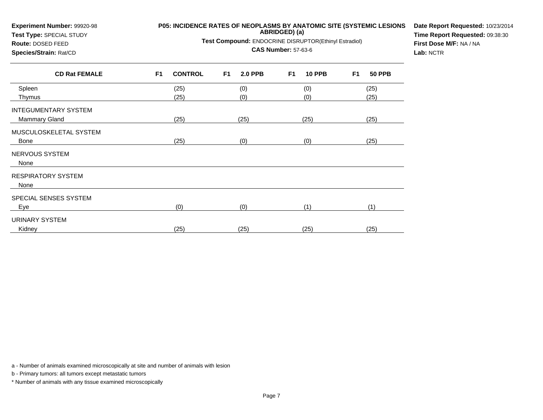| Experiment Number: 99920-98<br>Test Type: SPECIAL STUDY<br>Route: DOSED FEED<br>Species/Strain: Rat/CD |           | P05: INCIDENCE RATES OF NEOPLASMS BY ANATOMIC SITE (SYSTEMIC LESIONS<br>Test Compound: ENDOCRINE DISRUPTOR(Ethinyl Estradiol) | Date Report Requested: 10/23/2014<br>Time Report Requested: 09:38:30<br>First Dose M/F: NA / NA<br>Lab: NCTR |                |                |               |           |               |  |
|--------------------------------------------------------------------------------------------------------|-----------|-------------------------------------------------------------------------------------------------------------------------------|--------------------------------------------------------------------------------------------------------------|----------------|----------------|---------------|-----------|---------------|--|
| <b>CD Rat FEMALE</b>                                                                                   | <b>F1</b> | <b>CONTROL</b>                                                                                                                | F <sub>1</sub>                                                                                               | <b>2.0 PPB</b> | F <sub>1</sub> | <b>10 PPB</b> | <b>F1</b> | <b>50 PPB</b> |  |
| Spleen                                                                                                 |           | (25)                                                                                                                          |                                                                                                              | (0)            |                | (0)           |           | (25)          |  |
| Thymus                                                                                                 |           | (25)                                                                                                                          |                                                                                                              | (0)            |                | (0)           |           | (25)          |  |
| <b>INTEGUMENTARY SYSTEM</b>                                                                            |           |                                                                                                                               |                                                                                                              |                |                |               |           |               |  |
| <b>Mammary Gland</b>                                                                                   |           | (25)                                                                                                                          |                                                                                                              | (25)           |                | (25)          |           | (25)          |  |
| MUSCULOSKELETAL SYSTEM                                                                                 |           |                                                                                                                               |                                                                                                              |                |                |               |           |               |  |
| <b>Bone</b>                                                                                            |           | (25)                                                                                                                          |                                                                                                              | (0)            |                | (0)           |           | (25)          |  |
| NERVOUS SYSTEM<br>None                                                                                 |           |                                                                                                                               |                                                                                                              |                |                |               |           |               |  |
| <b>RESPIRATORY SYSTEM</b><br>None                                                                      |           |                                                                                                                               |                                                                                                              |                |                |               |           |               |  |
| SPECIAL SENSES SYSTEM                                                                                  |           |                                                                                                                               |                                                                                                              |                |                |               |           |               |  |
| Eye                                                                                                    |           | (0)                                                                                                                           |                                                                                                              | (0)            |                | (1)           |           | (1)           |  |
| URINARY SYSTEM                                                                                         |           |                                                                                                                               |                                                                                                              |                |                |               |           |               |  |
| Kidney                                                                                                 |           | (25)                                                                                                                          |                                                                                                              | (25)           |                | (25)          |           | (25)          |  |

b - Primary tumors: all tumors except metastatic tumors